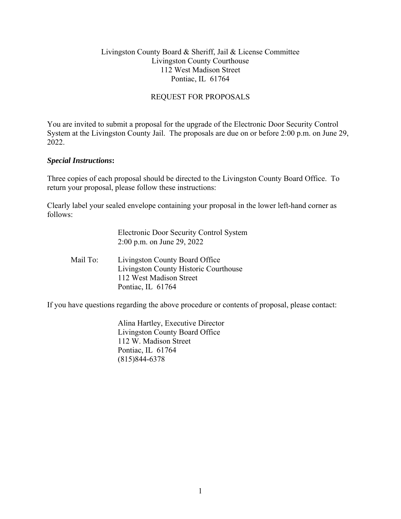#### Livingston County Board & Sheriff, Jail & License Committee Livingston County Courthouse 112 West Madison Street Pontiac, IL 61764

### REQUEST FOR PROPOSALS

You are invited to submit a proposal for the upgrade of the Electronic Door Security Control System at the Livingston County Jail. The proposals are due on or before 2:00 p.m. on June 29, 2022.

#### *Special Instructions***:**

Three copies of each proposal should be directed to the Livingston County Board Office. To return your proposal, please follow these instructions:

Clearly label your sealed envelope containing your proposal in the lower left-hand corner as follows:

|          | Electronic Door Security Control System<br>2:00 p.m. on June 29, 2022                                                   |
|----------|-------------------------------------------------------------------------------------------------------------------------|
| Mail To: | Livingston County Board Office<br>Livingston County Historic Courthouse<br>112 West Madison Street<br>Pontiac, IL 61764 |

If you have questions regarding the above procedure or contents of proposal, please contact:

 Alina Hartley, Executive Director Livingston County Board Office 112 W. Madison Street Pontiac, IL 61764 (815)844-6378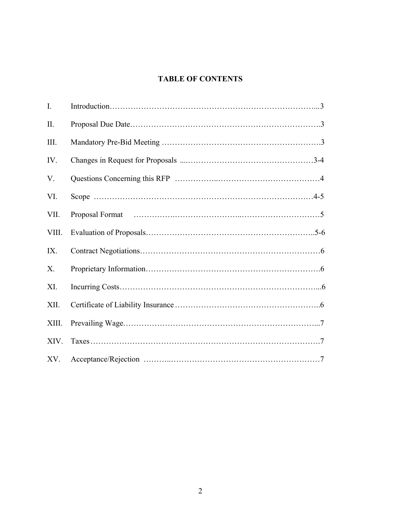# **TABLE OF CONTENTS**

| I.    |  |
|-------|--|
| II.   |  |
| III.  |  |
| IV.   |  |
| V.    |  |
| VI.   |  |
| VII.  |  |
| VIII. |  |
| IX.   |  |
| X.    |  |
| XI.   |  |
| XII.  |  |
| XIII. |  |
| XIV.  |  |
| XV.   |  |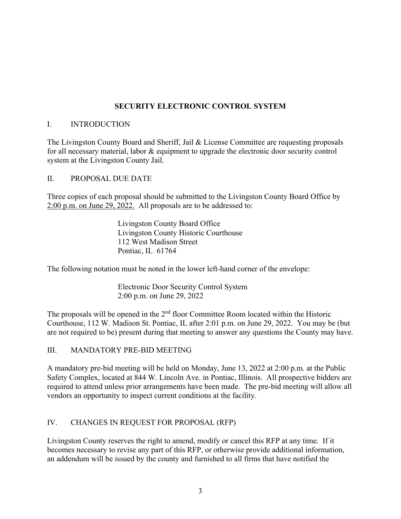# **SECURITY ELECTRONIC CONTROL SYSTEM**

#### I. INTRODUCTION

The Livingston County Board and Sheriff, Jail & License Committee are requesting proposals for all necessary material, labor & equipment to upgrade the electronic door security control system at the Livingston County Jail.

#### II. PROPOSAL DUE DATE

Three copies of each proposal should be submitted to the Livingston County Board Office by 2:00 p.m. on June 29, 2022. All proposals are to be addressed to:

> Livingston County Board Office Livingston County Historic Courthouse 112 West Madison Street Pontiac, IL 61764

The following notation must be noted in the lower left-hand corner of the envelope:

 Electronic Door Security Control System 2:00 p.m. on June 29, 2022

The proposals will be opened in the  $2<sup>nd</sup>$  floor Committee Room located within the Historic Courthouse, 112 W. Madison St. Pontiac, IL after 2:01 p.m. on June 29, 2022. You may be (but are not required to be) present during that meeting to answer any questions the County may have.

#### III. MANDATORY PRE-BID MEETING

A mandatory pre-bid meeting will be held on Monday, June 13, 2022 at 2:00 p.m. at the Public Safety Complex, located at 844 W. Lincoln Ave. in Pontiac, Illinois. All prospective bidders are required to attend unless prior arrangements have been made. The pre-bid meeting will allow all vendors an opportunity to inspect current conditions at the facility.

### IV. CHANGES IN REQUEST FOR PROPOSAL (RFP)

Livingston County reserves the right to amend, modify or cancel this RFP at any time. If it becomes necessary to revise any part of this RFP, or otherwise provide additional information, an addendum will be issued by the county and furnished to all firms that have notified the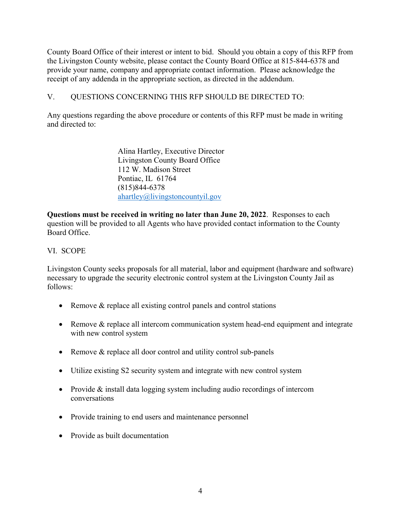County Board Office of their interest or intent to bid. Should you obtain a copy of this RFP from the Livingston County website, please contact the County Board Office at 815-844-6378 and provide your name, company and appropriate contact information. Please acknowledge the receipt of any addenda in the appropriate section, as directed in the addendum.

# V. QUESTIONS CONCERNING THIS RFP SHOULD BE DIRECTED TO:

Any questions regarding the above procedure or contents of this RFP must be made in writing and directed to:

> Alina Hartley, Executive Director Livingston County Board Office 112 W. Madison Street Pontiac, IL 61764 (815)844-6378 ahartley@livingstoncountyil.gov

**Questions must be received in writing no later than June 20, 2022**. Responses to each question will be provided to all Agents who have provided contact information to the County Board Office.

# VI. SCOPE

Livingston County seeks proposals for all material, labor and equipment (hardware and software) necessary to upgrade the security electronic control system at the Livingston County Jail as follows:

- Remove & replace all existing control panels and control stations
- Remove & replace all intercom communication system head-end equipment and integrate with new control system
- Remove & replace all door control and utility control sub-panels
- Utilize existing S2 security system and integrate with new control system
- Provide & install data logging system including audio recordings of intercom conversations
- Provide training to end users and maintenance personnel
- Provide as built documentation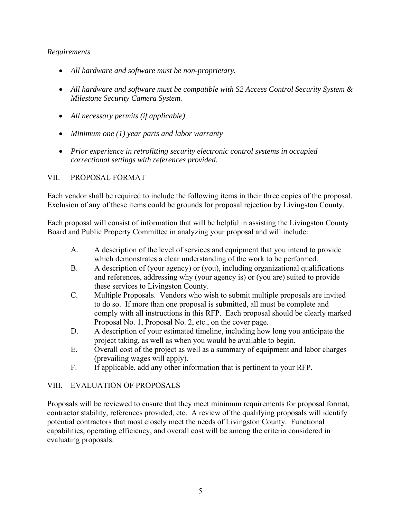#### *Requirements*

- *All hardware and software must be non-proprietary.*
- *All hardware and software must be compatible with S2 Access Control Security System & Milestone Security Camera System.*
- *All necessary permits (if applicable)*
- *Minimum one (1) year parts and labor warranty*
- *Prior experience in retrofitting security electronic control systems in occupied correctional settings with references provided.*

#### VII. PROPOSAL FORMAT

Each vendor shall be required to include the following items in their three copies of the proposal. Exclusion of any of these items could be grounds for proposal rejection by Livingston County.

Each proposal will consist of information that will be helpful in assisting the Livingston County Board and Public Property Committee in analyzing your proposal and will include:

- A. A description of the level of services and equipment that you intend to provide which demonstrates a clear understanding of the work to be performed.
- B. A description of (your agency) or (you), including organizational qualifications and references, addressing why (your agency is) or (you are) suited to provide these services to Livingston County.
- C. Multiple Proposals. Vendors who wish to submit multiple proposals are invited to do so. If more than one proposal is submitted, all must be complete and comply with all instructions in this RFP. Each proposal should be clearly marked Proposal No. 1, Proposal No. 2, etc., on the cover page.
- D. A description of your estimated timeline, including how long you anticipate the project taking, as well as when you would be available to begin.
- E. Overall cost of the project as well as a summary of equipment and labor charges (prevailing wages will apply).
- F. If applicable, add any other information that is pertinent to your RFP.

### VIII. EVALUATION OF PROPOSALS

Proposals will be reviewed to ensure that they meet minimum requirements for proposal format, contractor stability, references provided, etc. A review of the qualifying proposals will identify potential contractors that most closely meet the needs of Livingston County. Functional capabilities, operating efficiency, and overall cost will be among the criteria considered in evaluating proposals.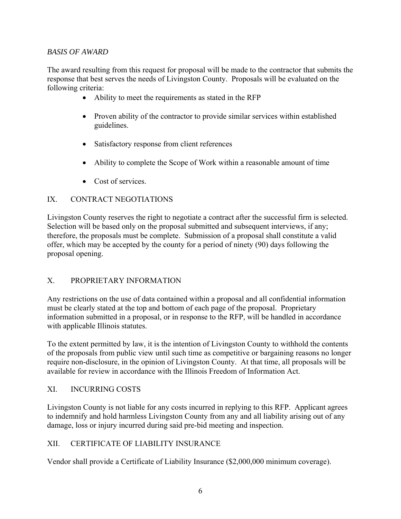## *BASIS OF AWARD*

The award resulting from this request for proposal will be made to the contractor that submits the response that best serves the needs of Livingston County. Proposals will be evaluated on the following criteria:

- Ability to meet the requirements as stated in the RFP
- Proven ability of the contractor to provide similar services within established guidelines.
- Satisfactory response from client references
- Ability to complete the Scope of Work within a reasonable amount of time
- Cost of services.

# IX. CONTRACT NEGOTIATIONS

Livingston County reserves the right to negotiate a contract after the successful firm is selected. Selection will be based only on the proposal submitted and subsequent interviews, if any; therefore, the proposals must be complete. Submission of a proposal shall constitute a valid offer, which may be accepted by the county for a period of ninety (90) days following the proposal opening.

### X. PROPRIETARY INFORMATION

Any restrictions on the use of data contained within a proposal and all confidential information must be clearly stated at the top and bottom of each page of the proposal. Proprietary information submitted in a proposal, or in response to the RFP, will be handled in accordance with applicable Illinois statutes.

To the extent permitted by law, it is the intention of Livingston County to withhold the contents of the proposals from public view until such time as competitive or bargaining reasons no longer require non-disclosure, in the opinion of Livingston County. At that time, all proposals will be available for review in accordance with the Illinois Freedom of Information Act.

### XI. INCURRING COSTS

Livingston County is not liable for any costs incurred in replying to this RFP. Applicant agrees to indemnify and hold harmless Livingston County from any and all liability arising out of any damage, loss or injury incurred during said pre-bid meeting and inspection.

### XII. CERTIFICATE OF LIABILITY INSURANCE

Vendor shall provide a Certificate of Liability Insurance (\$2,000,000 minimum coverage).